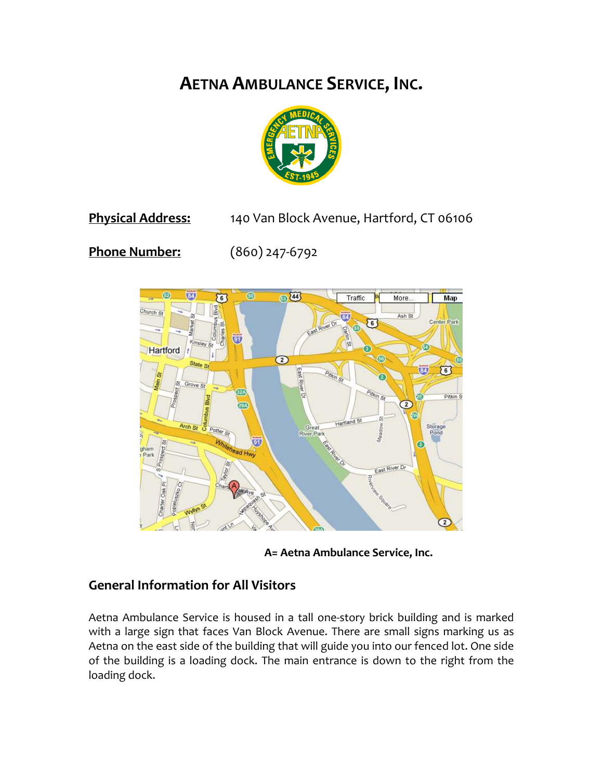# **AETNA AMBULANCE SERVICE, INC.**



# **Physical Address:** 140 Van Block Avenue, Hartford, CT 06106

**Phone Number:** (860) 247-6792



**A= Aetna Ambulance Service, Inc.** 

## **General Information for All Visitors**

Aetna Ambulance Service is housed in a tall one-story brick building and is marked with a large sign that faces Van Block Avenue. There are small signs marking us as Aetna on the east side of the building that will guide you into our fenced lot. One side of the building is a loading dock. The main entrance is down to the right from the loading dock.